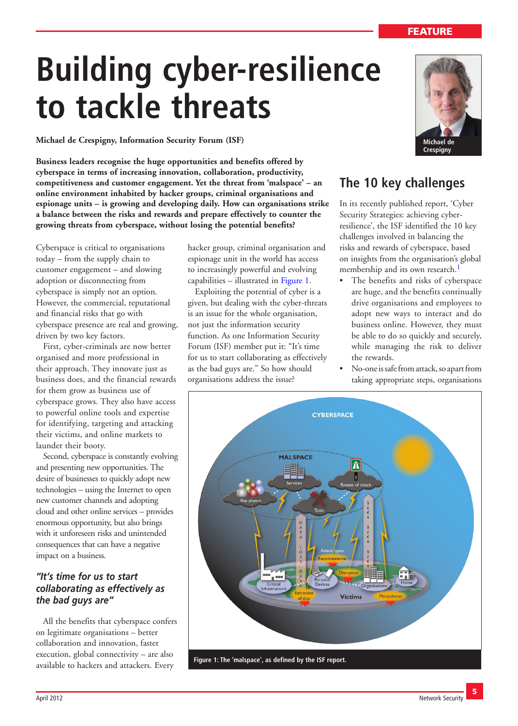**5**

# **Building cyber-resilience to tackle threats**

**Michael de Crespigny, Information Security Forum (ISF)**

**Business leaders recognise the huge opportunities and benefits offered by cyberspace in terms of increasing innovation, collaboration, productivity, competitiveness and customer engagement. Yet the threat from 'malspace' – an online environment inhabited by hacker groups, criminal organisations and espionage units – is growing and developing daily. How can organisations strike a balance between the risks and rewards and prepare effectively to counter the growing threats from cyberspace, without losing the potential benefits?**

Cyberspace is critical to organisations today – from the supply chain to customer engagement – and slowing adoption or disconnecting from cyberspace is simply not an option. However, the commercial, reputational and financial risks that go with cyberspace presence are real and growing, driven by two key factors.

First, cyber-criminals are now better organised and more professional in their approach. They innovate just as business does, and the financial rewards for them grow as business use of cyberspace grows. They also have access to powerful online tools and expertise for identifying, targeting and attacking their victims, and online markets to launder their booty.

Second, cyberspace is constantly evolving and presenting new opportunities. The desire of businesses to quickly adopt new technologies – using the Internet to open new customer channels and adopting cloud and other online services – provides enormous opportunity, but also brings with it unforeseen risks and unintended consequences that can have a negative impact on a business.

### *"It's time for us to start collaborating as effectively as the bad guys are"*

All the benefits that cyberspace confers on legitimate organisations – better collaboration and innovation, faster execution, global connectivity – are also available to hackers and attackers. Every

hacker group, criminal organisation and espionage unit in the world has access to increasingly powerful and evolving capabilities – illustrated in Figure 1.

Exploiting the potential of cyber is a given, but dealing with the cyber-threats is an issue for the whole organisation, not just the information security function. As one Information Security Forum (ISF) member put it: "It's time for us to start collaborating as effectively as the bad guys are." So how should organisations address the issue?

## **The 10 key challenges**

In its recently published report, 'Cyber Security Strategies: achieving cyberresilience', the ISF identified the 10 key challenges involved in balancing the risks and rewards of cyberspace, based on insights from the organisation's global membership and its own research.<sup>1</sup>

- The benefits and risks of cyberspace are huge, and the benefits continually drive organisations and employees to adopt new ways to interact and do business online. However, they must be able to do so quickly and securely, while managing the risk to deliver the rewards.
- No-one is safe from attack, so apart from taking appropriate steps, organisations





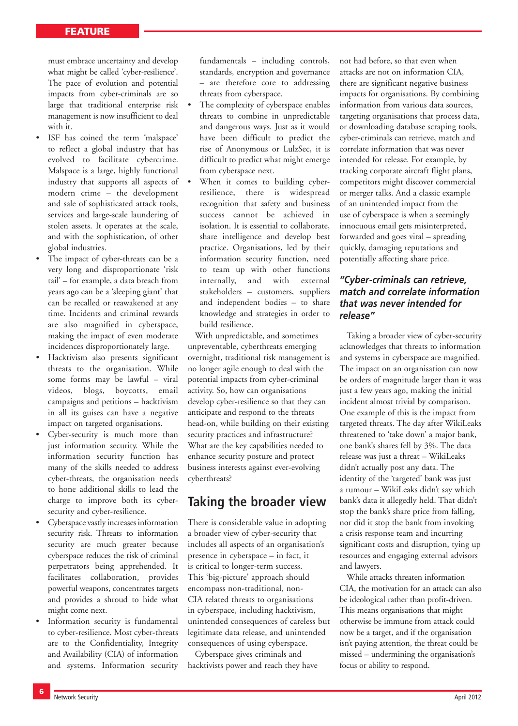must embrace uncertainty and develop what might be called 'cyber-resilience'. The pace of evolution and potential impacts from cyber-criminals are so large that traditional enterprise risk management is now insufficient to deal with it.

- ISF has coined the term 'malspace' to reflect a global industry that has evolved to facilitate cybercrime. Malspace is a large, highly functional industry that supports all aspects of modern crime – the development and sale of sophisticated attack tools, services and large-scale laundering of stolen assets. It operates at the scale, and with the sophistication, of other global industries.
- The impact of cyber-threats can be a very long and disproportionate 'risk tail' – for example, a data breach from years ago can be a 'sleeping giant' that can be recalled or reawakened at any time. Incidents and criminal rewards are also magnified in cyberspace, making the impact of even moderate incidences disproportionately large.
- Hacktivism also presents significant threats to the organisation. While some forms may be lawful – viral videos, blogs, boycotts, email campaigns and petitions – hacktivism in all its guises can have a negative impact on targeted organisations.
- Cyber-security is much more than just information security. While the information security function has many of the skills needed to address cyber-threats, the organisation needs to hone additional skills to lead the charge to improve both its cybersecurity and cyber-resilience.
- Cyberspace vastly increases information security risk. Threats to information security are much greater because cyberspace reduces the risk of criminal perpetrators being apprehended. It facilitates collaboration, provides powerful weapons, concentrates targets and provides a shroud to hide what might come next.
- Information security is fundamental to cyber-resilience. Most cyber-threats are to the Confidentiality, Integrity and Availability (CIA) of information and systems. Information security

fundamentals – including controls, standards, encryption and governance – are therefore core to addressing threats from cyberspace.

- The complexity of cyberspace enables threats to combine in unpredictable and dangerous ways. Just as it would have been difficult to predict the rise of Anonymous or LulzSec, it is difficult to predict what might emerge from cyberspace next.
- When it comes to building cyberresilience, there is widespread recognition that safety and business success cannot be achieved in isolation. It is essential to collaborate, share intelligence and develop best practice. Organisations, led by their information security function, need to team up with other functions internally, and with external stakeholders – customers, suppliers and independent bodies – to share knowledge and strategies in order to build resilience.

With unpredictable, and sometimes unpreventable, cyberthreats emerging overnight, traditional risk management is no longer agile enough to deal with the potential impacts from cyber-criminal activity. So, how can organisations develop cyber-resilience so that they can anticipate and respond to the threats head-on, while building on their existing security practices and infrastructure? What are the key capabilities needed to enhance security posture and protect business interests against ever-evolving cyberthreats?

## **Taking the broader view**

There is considerable value in adopting a broader view of cyber-security that includes all aspects of an organisation's presence in cyberspace – in fact, it is critical to longer-term success. This 'big-picture' approach should encompass non-traditional, non-CIA related threats to organisations in cyberspace, including hacktivism, unintended consequences of careless but legitimate data release, and unintended consequences of using cyberspace.

Cyberspace gives criminals and hacktivists power and reach they have

not had before, so that even when attacks are not on information CIA, there are significant negative business impacts for organisations. By combining information from various data sources, targeting organisations that process data, or downloading database scraping tools, cyber-criminals can retrieve, match and correlate information that was never intended for release. For example, by tracking corporate aircraft flight plans, competitors might discover commercial or merger talks. And a classic example of an unintended impact from the use of cyberspace is when a seemingly innocuous email gets misinterpreted, forwarded and goes viral – spreading quickly, damaging reputations and potentially affecting share price.

### *"Cyber-criminals can retrieve, match and correlate information that was never intended for release"*

Taking a broader view of cyber-security acknowledges that threats to information and systems in cyberspace are magnified. The impact on an organisation can now be orders of magnitude larger than it was just a few years ago, making the initial incident almost trivial by comparison. One example of this is the impact from targeted threats. The day after WikiLeaks threatened to 'take down' a major bank, one bank's shares fell by 3%. The data release was just a threat – WikiLeaks didn't actually post any data. The identity of the 'targeted' bank was just a rumour – WikiLeaks didn't say which bank's data it allegedly held. That didn't stop the bank's share price from falling, nor did it stop the bank from invoking a crisis response team and incurring significant costs and disruption, tying up resources and engaging external advisors and lawyers.

While attacks threaten information CIA, the motivation for an attack can also be ideological rather than profit-driven. This means organisations that might otherwise be immune from attack could now be a target, and if the organisation isn't paying attention, the threat could be missed – undermining the organisation's focus or ability to respond.

**6**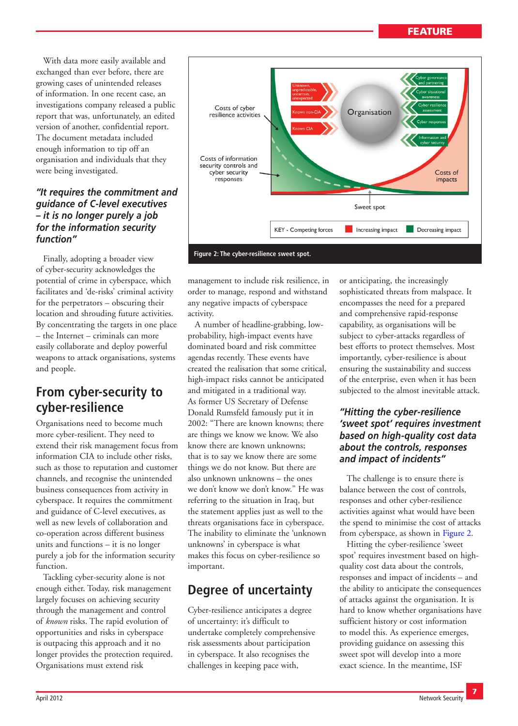With data more easily available and exchanged than ever before, there are growing cases of unintended releases of information. In one recent case, an investigations company released a public report that was, unfortunately, an edited version of another, confidential report. The document metadata included enough information to tip off an organisation and individuals that they were being investigated.

#### *"It requires the commitment and guidance of C-level executives – it is no longer purely a job for the information security function"*

Finally, adopting a broader view of cyber-security acknowledges the potential of crime in cyberspace, which facilitates and 'de-risks' criminal activity for the perpetrators – obscuring their location and shrouding future activities. By concentrating the targets in one place – the Internet – criminals can more easily collaborate and deploy powerful weapons to attack organisations, systems and people.

## **From cyber-security to cyber-resilience**

Organisations need to become much more cyber-resilient. They need to extend their risk management focus from information CIA to include other risks, such as those to reputation and customer channels, and recognise the unintended business consequences from activity in cyberspace. It requires the commitment and guidance of C-level executives, as well as new levels of collaboration and co-operation across different business units and functions – it is no longer purely a job for the information security function.

Tackling cyber-security alone is not enough either. Today, risk management largely focuses on achieving security through the management and control of *known* risks. The rapid evolution of opportunities and risks in cyberspace is outpacing this approach and it no longer provides the protection required. Organisations must extend risk



management to include risk resilience, in order to manage, respond and withstand any negative impacts of cyberspace activity.

A number of headline-grabbing, lowprobability, high-impact events have dominated board and risk committee agendas recently. These events have created the realisation that some critical, high-impact risks cannot be anticipated and mitigated in a traditional way. As former US Secretary of Defense Donald Rumsfeld famously put it in 2002: "There are known knowns; there are things we know we know. We also know there are known unknowns; that is to say we know there are some things we do not know. But there are also unknown unknowns – the ones we don't know we don't know." He was referring to the situation in Iraq, but the statement applies just as well to the threats organisations face in cyberspace. The inability to eliminate the 'unknown unknowns' in cyberspace is what makes this focus on cyber-resilience so important.

## **Degree of uncertainty**

Cyber-resilience anticipates a degree of uncertainty: it's difficult to undertake completely comprehensive risk assessments about participation in cyberspace. It also recognises the challenges in keeping pace with,

or anticipating, the increasingly sophisticated threats from malspace. It encompasses the need for a prepared and comprehensive rapid-response capability, as organisations will be subject to cyber-attacks regardless of best efforts to protect themselves. Most importantly, cyber-resilience is about ensuring the sustainability and success of the enterprise, even when it has been subjected to the almost inevitable attack.

### *"Hitting the cyber-resilience 'sweet spot' requires investment based on high-quality cost data about the controls, responses and impact of incidents"*

The challenge is to ensure there is balance between the cost of controls, responses and other cyber-resilience activities against what would have been the spend to minimise the cost of attacks from cyberspace, as shown in Figure 2.

Hitting the cyber-resilience 'sweet spot' requires investment based on highquality cost data about the controls, responses and impact of incidents – and the ability to anticipate the consequences of attacks against the organisation. It is hard to know whether organisations have sufficient history or cost information to model this. As experience emerges, providing guidance on assessing this sweet spot will develop into a more exact science. In the meantime, ISF

**7**